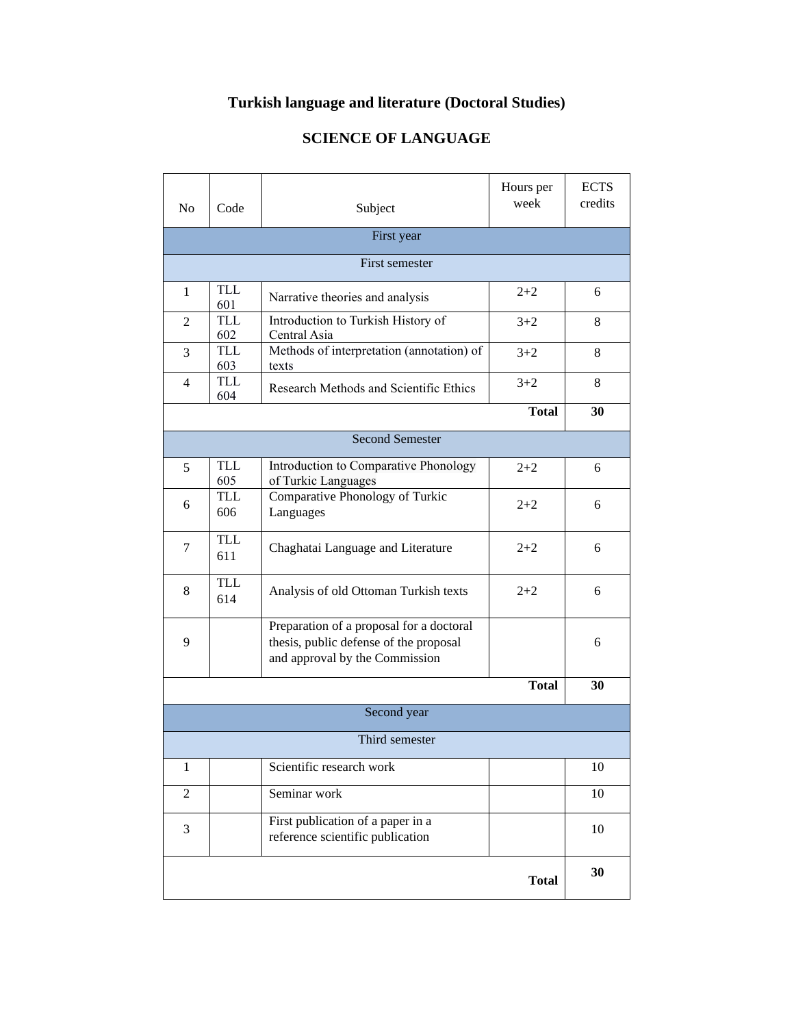## **Turkish language and literature (Doctoral Studies)**

## **SCIENCE OF LANGUAGE**

<u> 1980 - Johann Barnett, fransk politiker (</u>

| N <sub>o</sub> | Code              | Subject                                                                                                              | Hours per<br>week | <b>ECTS</b><br>credits |  |  |
|----------------|-------------------|----------------------------------------------------------------------------------------------------------------------|-------------------|------------------------|--|--|
|                | First year        |                                                                                                                      |                   |                        |  |  |
|                |                   | First semester                                                                                                       |                   |                        |  |  |
| 1              | <b>TLL</b><br>601 | Narrative theories and analysis                                                                                      | $2+2$             | 6                      |  |  |
| 2              | <b>TLL</b><br>602 | Introduction to Turkish History of<br>Central Asia                                                                   | $3 + 2$           | 8                      |  |  |
| 3              | TLL<br>603        | Methods of interpretation (annotation) of<br>texts                                                                   | $3 + 2$           | 8                      |  |  |
| 4              | <b>TLL</b><br>604 | Research Methods and Scientific Ethics                                                                               | $3 + 2$           | 8                      |  |  |
|                |                   |                                                                                                                      | <b>Total</b>      | 30                     |  |  |
|                |                   | <b>Second Semester</b>                                                                                               |                   |                        |  |  |
| 5              | TLL<br>605        | Introduction to Comparative Phonology<br>of Turkic Languages                                                         | $2 + 2$           | 6                      |  |  |
| 6              | <b>TLL</b><br>606 | Comparative Phonology of Turkic<br>Languages                                                                         | $2+2$             | 6                      |  |  |
| 7              | <b>TLL</b><br>611 | Chaghatai Language and Literature                                                                                    | $2 + 2$           | 6                      |  |  |
| 8              | <b>TLL</b><br>614 | Analysis of old Ottoman Turkish texts                                                                                | $2 + 2$           | 6                      |  |  |
| 9              |                   | Preparation of a proposal for a doctoral<br>thesis, public defense of the proposal<br>and approval by the Commission |                   | 6                      |  |  |
|                |                   |                                                                                                                      | <b>Total</b>      | 30                     |  |  |
|                |                   | Second year                                                                                                          |                   |                        |  |  |
|                |                   | Third semester                                                                                                       |                   |                        |  |  |
| 1              |                   | Scientific research work                                                                                             |                   | 10                     |  |  |
| $\overline{2}$ |                   | Seminar work                                                                                                         |                   | 10                     |  |  |
| 3              |                   | First publication of a paper in a<br>reference scientific publication                                                |                   | 10                     |  |  |
|                |                   |                                                                                                                      | <b>Total</b>      | 30                     |  |  |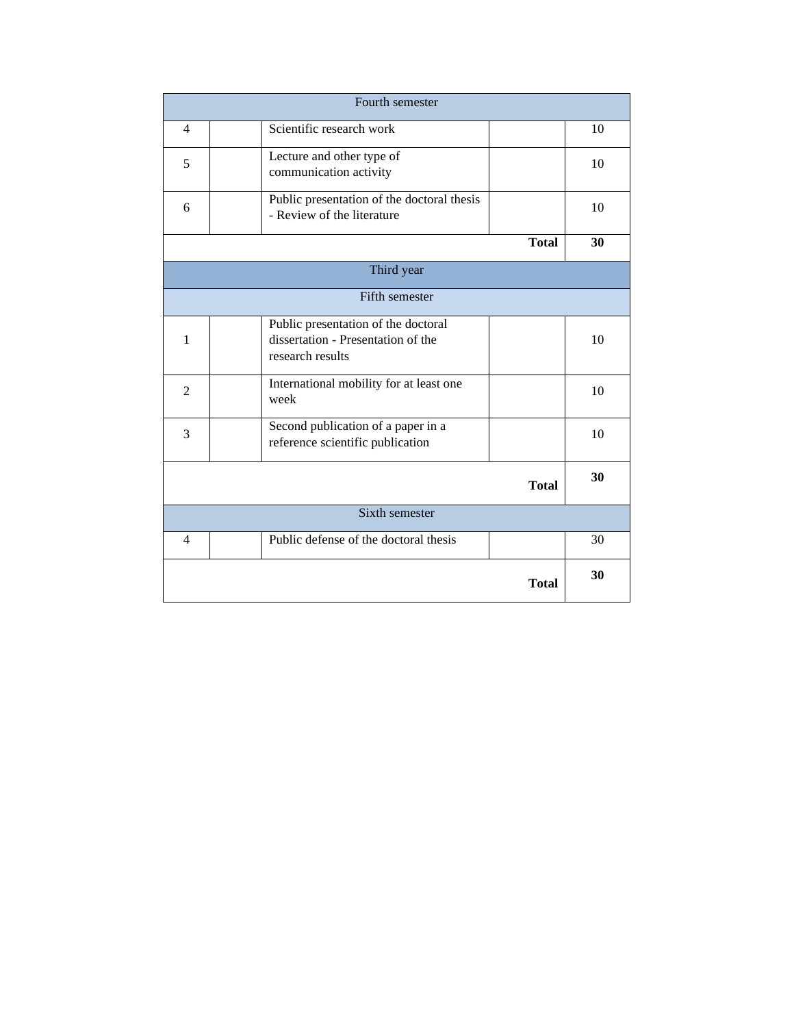| Fourth semester |                                                                                               |              |    |  |
|-----------------|-----------------------------------------------------------------------------------------------|--------------|----|--|
| $\overline{4}$  | Scientific research work                                                                      |              | 10 |  |
| 5               | Lecture and other type of<br>communication activity                                           |              | 10 |  |
| 6               | Public presentation of the doctoral thesis<br>- Review of the literature                      |              | 10 |  |
|                 |                                                                                               | <b>Total</b> | 30 |  |
| Third year      |                                                                                               |              |    |  |
| Fifth semester  |                                                                                               |              |    |  |
| $\mathbf{1}$    | Public presentation of the doctoral<br>dissertation - Presentation of the<br>research results |              | 10 |  |
| 2               | International mobility for at least one<br>week                                               |              | 10 |  |
| 3               | Second publication of a paper in a<br>reference scientific publication                        |              | 10 |  |
|                 |                                                                                               | <b>Total</b> | 30 |  |
| Sixth semester  |                                                                                               |              |    |  |
| 4               | Public defense of the doctoral thesis                                                         |              | 30 |  |
|                 |                                                                                               | <b>Total</b> | 30 |  |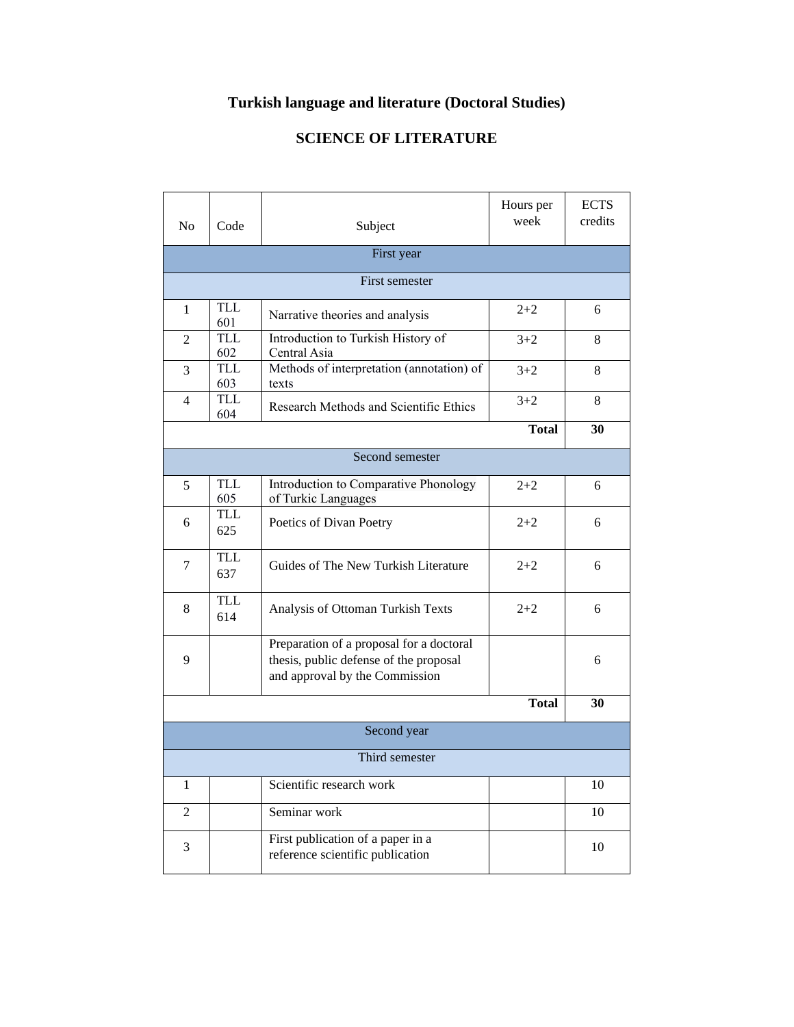## **Turkish language and literature (Doctoral Studies)**

## **SCIENCE OF LITERATURE**

| N <sub>0</sub> | Code              | Subject                                                                                                              | Hours per<br>week | <b>ECTS</b><br>credits |  |  |
|----------------|-------------------|----------------------------------------------------------------------------------------------------------------------|-------------------|------------------------|--|--|
|                |                   | First year                                                                                                           |                   |                        |  |  |
| First semester |                   |                                                                                                                      |                   |                        |  |  |
| 1              | TLL<br>601        | Narrative theories and analysis                                                                                      | $2 + 2$           | 6                      |  |  |
| 2              | <b>TLL</b><br>602 | Introduction to Turkish History of<br>Central Asia                                                                   | $3+2$             | 8                      |  |  |
| 3              | TLL<br>603        | Methods of interpretation (annotation) of<br>texts                                                                   | $3+2$             | 8                      |  |  |
| 4              | <b>TLL</b><br>604 | Research Methods and Scientific Ethics                                                                               | $3 + 2$           | 8                      |  |  |
|                |                   |                                                                                                                      | <b>Total</b>      | 30                     |  |  |
|                |                   | Second semester                                                                                                      |                   |                        |  |  |
| 5              | <b>TLL</b><br>605 | Introduction to Comparative Phonology<br>of Turkic Languages                                                         | $2 + 2$           | 6                      |  |  |
| 6              | <b>TLL</b><br>625 | Poetics of Divan Poetry                                                                                              | $2+2$             | 6                      |  |  |
| 7              | <b>TLL</b><br>637 | Guides of The New Turkish Literature                                                                                 | $2+2$             | 6                      |  |  |
| 8              | <b>TLL</b><br>614 | Analysis of Ottoman Turkish Texts                                                                                    | $2 + 2$           | 6                      |  |  |
| 9              |                   | Preparation of a proposal for a doctoral<br>thesis, public defense of the proposal<br>and approval by the Commission |                   | 6                      |  |  |
|                |                   |                                                                                                                      | <b>Total</b>      | 30                     |  |  |
| Second year    |                   |                                                                                                                      |                   |                        |  |  |
| Third semester |                   |                                                                                                                      |                   |                        |  |  |
| 1              |                   | Scientific research work                                                                                             |                   | 10                     |  |  |
| $\overline{2}$ |                   | Seminar work                                                                                                         |                   | 10                     |  |  |
| 3              |                   | First publication of a paper in a<br>reference scientific publication                                                |                   | 10                     |  |  |